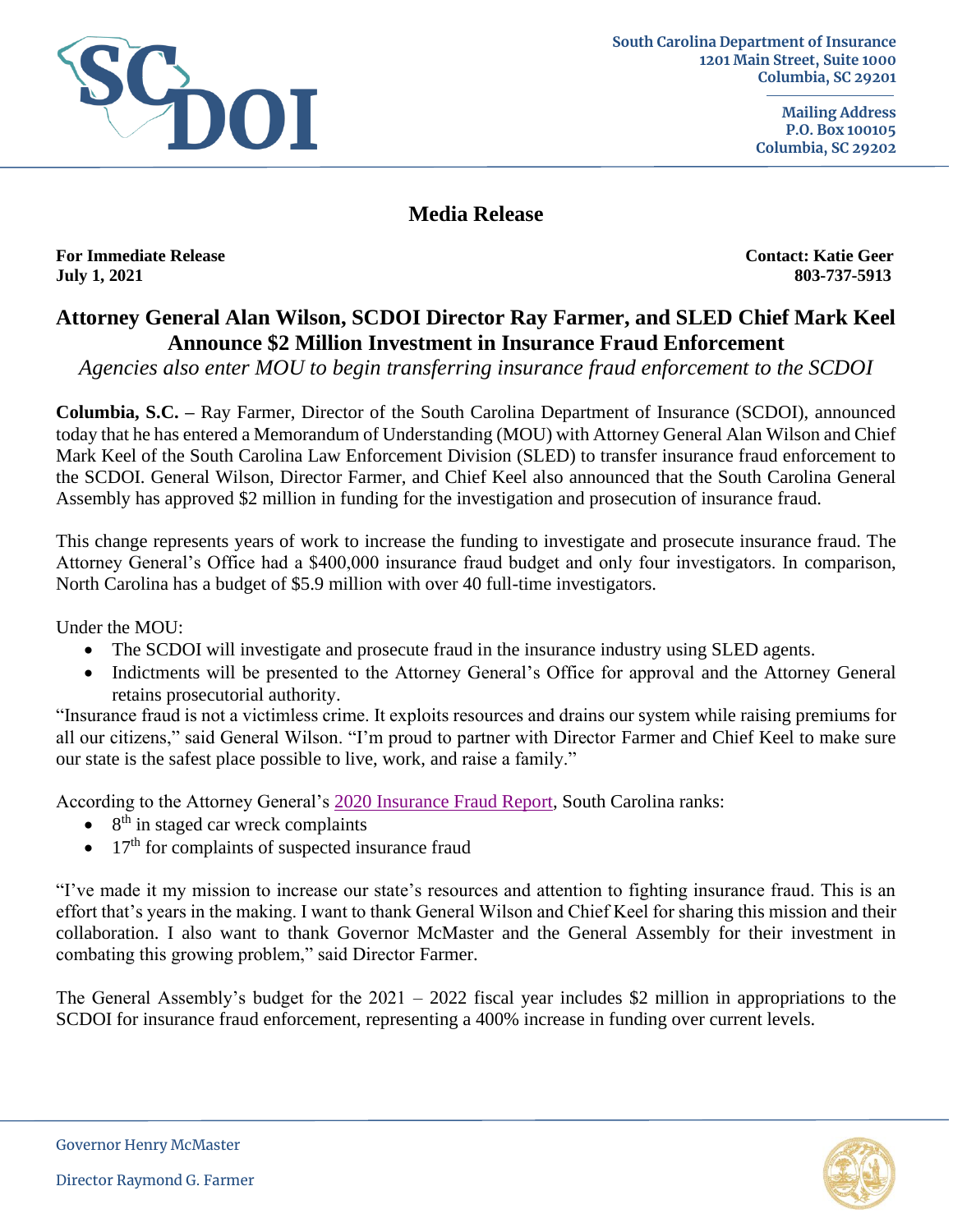

**Media Release**

**For Immediate Release Contact: Katie Geer July 1, 2021 803-737-5913**

## **Attorney General Alan Wilson, SCDOI Director Ray Farmer, and SLED Chief Mark Keel Announce \$2 Million Investment in Insurance Fraud Enforcement**

*Agencies also enter MOU to begin transferring insurance fraud enforcement to the SCDOI* 

**Columbia, S.C. –** Ray Farmer, Director of the South Carolina Department of Insurance (SCDOI), announced today that he has entered a Memorandum of Understanding (MOU) with Attorney General Alan Wilson and Chief Mark Keel of the South Carolina Law Enforcement Division (SLED) to transfer insurance fraud enforcement to the SCDOI. General Wilson, Director Farmer, and Chief Keel also announced that the South Carolina General Assembly has approved \$2 million in funding for the investigation and prosecution of insurance fraud.

This change represents years of work to increase the funding to investigate and prosecute insurance fraud. The Attorney General's Office had a \$400,000 insurance fraud budget and only four investigators. In comparison, North Carolina has a budget of \$5.9 million with over 40 full-time investigators.

Under the MOU:

- The SCDOI will investigate and prosecute fraud in the insurance industry using SLED agents.
- Indictments will be presented to the Attorney General's Office for approval and the Attorney General retains prosecutorial authority.

"Insurance fraud is not a victimless crime. It exploits resources and drains our system while raising premiums for all our citizens," said General Wilson. "I'm proud to partner with Director Farmer and Chief Keel to make sure our state is the safest place possible to live, work, and raise a family."

According to the Attorney General's [2020 Insurance Fraud Report,](http://2hsvz0l74ah31vgcm16peuy12tz.wpengine.netdna-cdn.com/wp-content/uploads/2021/04/2020-Insurance-Fraud-Annual-Report.pdf) South Carolina ranks:

- $\bullet$  8<sup>th</sup> in staged car wreck complaints
- $\bullet$  17<sup>th</sup> for complaints of suspected insurance fraud

"I've made it my mission to increase our state's resources and attention to fighting insurance fraud. This is an effort that's years in the making. I want to thank General Wilson and Chief Keel for sharing this mission and their collaboration. I also want to thank Governor McMaster and the General Assembly for their investment in combating this growing problem," said Director Farmer.

The General Assembly's budget for the 2021 – 2022 fiscal year includes \$2 million in appropriations to the SCDOI for insurance fraud enforcement, representing a 400% increase in funding over current levels.